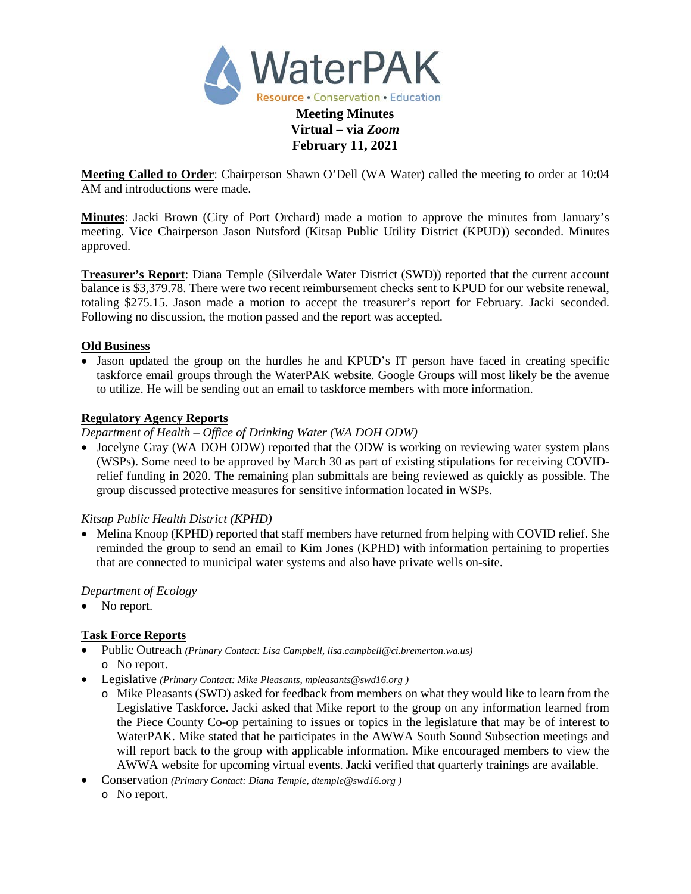

**Virtual – via** *Zoom* **February 11, 2021**

**Meeting Called to Order**: Chairperson Shawn O'Dell (WA Water) called the meeting to order at 10:04 AM and introductions were made.

**Minutes**: Jacki Brown (City of Port Orchard) made a motion to approve the minutes from January's meeting. Vice Chairperson Jason Nutsford (Kitsap Public Utility District (KPUD)) seconded. Minutes approved.

**Treasurer's Report**: Diana Temple (Silverdale Water District (SWD)) reported that the current account balance is \$3,379.78. There were two recent reimbursement checks sent to KPUD for our website renewal, totaling \$275.15. Jason made a motion to accept the treasurer's report for February. Jacki seconded. Following no discussion, the motion passed and the report was accepted.

## **Old Business**

• Jason updated the group on the hurdles he and KPUD's IT person have faced in creating specific taskforce email groups through the WaterPAK website. Google Groups will most likely be the avenue to utilize. He will be sending out an email to taskforce members with more information.

### **Regulatory Agency Reports**

*Department of Health – Office of Drinking Water (WA DOH ODW)*

• Jocelyne Gray (WA DOH ODW) reported that the ODW is working on reviewing water system plans (WSPs). Some need to be approved by March 30 as part of existing stipulations for receiving COVIDrelief funding in 2020. The remaining plan submittals are being reviewed as quickly as possible. The group discussed protective measures for sensitive information located in WSPs.

# *Kitsap Public Health District (KPHD)*

• Melina Knoop (KPHD) reported that staff members have returned from helping with COVID relief. She reminded the group to send an email to Kim Jones (KPHD) with information pertaining to properties that are connected to municipal water systems and also have private wells on-site.

# *Department of Ecology*

• No report.

# **Task Force Reports**

- Public Outreach *(Primary Contact: Lisa Campbell, [lisa.campbell@ci.bremerton.wa.us\)](mailto:lisa.campbell@ci.bremerton.wa.us)* o No report.
- Legislative *(Primary Contact: Mike Pleasants, mpleasants@swd16.org )* 
	- o Mike Pleasants (SWD) asked for feedback from members on what they would like to learn from the Legislative Taskforce. Jacki asked that Mike report to the group on any information learned from the Piece County Co-op pertaining to issues or topics in the legislature that may be of interest to WaterPAK. Mike stated that he participates in the AWWA South Sound Subsection meetings and will report back to the group with applicable information. Mike encouraged members to view the AWWA website for upcoming virtual events. Jacki verified that quarterly trainings are available.
- Conservation *(Primary Contact: Diana Temple, dtemple@swd16.org )* o No report.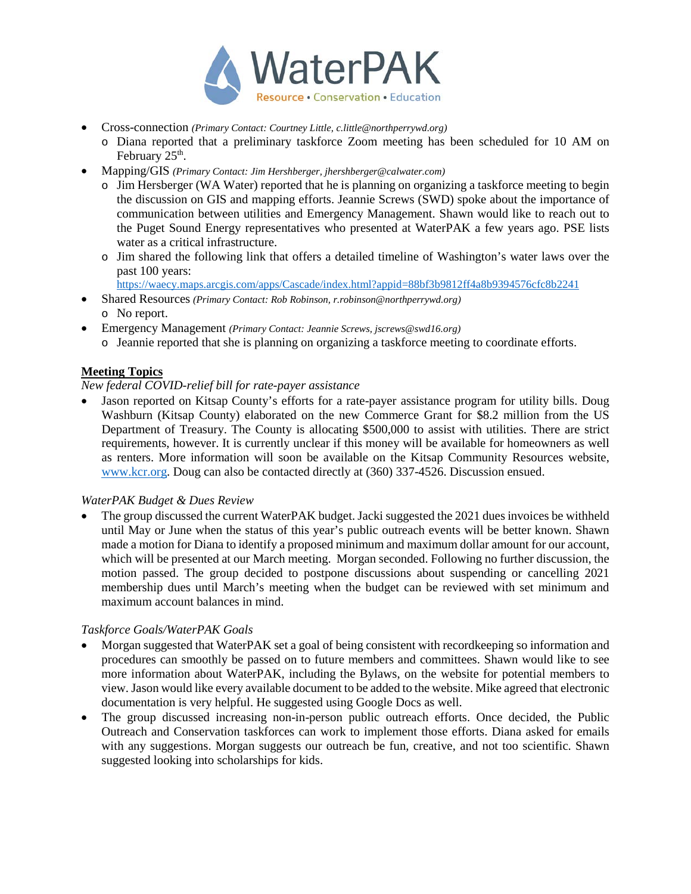

- Cross-connection *(Primary Contact: Courtney Little, [c.little@northperrywd.org\)](mailto:c.little@northperrywd.org)*
	- o Diana reported that a preliminary taskforce Zoom meeting has been scheduled for 10 AM on February  $25<sup>th</sup>$ .
- Mapping/GIS *(Primary Contact: Jim Hershberger, [jhershberger@calwater.com\)](mailto:jhershberger@calwater.com)*
	- o Jim Hersberger (WA Water) reported that he is planning on organizing a taskforce meeting to begin the discussion on GIS and mapping efforts. Jeannie Screws (SWD) spoke about the importance of communication between utilities and Emergency Management. Shawn would like to reach out to the Puget Sound Energy representatives who presented at WaterPAK a few years ago. PSE lists water as a critical infrastructure.
	- o Jim shared the following link that offers a detailed timeline of Washington's water laws over the past 100 years:

<https://waecy.maps.arcgis.com/apps/Cascade/index.html?appid=88bf3b9812ff4a8b9394576cfc8b2241>

- Shared Resources *(Primary Contact: Rob Robinson[, r.robinson@northperrywd.org\)](mailto:r.robinson@northperrywd.org)* o No report.
- Emergency Management *(Primary Contact: Jeannie Screws[, jscrews@swd16.org\)](mailto:jscrews@swd16.org)*
	- o Jeannie reported that she is planning on organizing a taskforce meeting to coordinate efforts.

### **Meeting Topics**

#### *New federal COVID-relief bill for rate-payer assistance*

• Jason reported on Kitsap County's efforts for a rate-payer assistance program for utility bills. Doug Washburn (Kitsap County) elaborated on the new Commerce Grant for \$8.2 million from the US Department of Treasury. The County is allocating \$500,000 to assist with utilities. There are strict requirements, however. It is currently unclear if this money will be available for homeowners as well as renters. More information will soon be available on the Kitsap Community Resources website, www.kcr.org. Doug can also be contacted directly at (360) 337-4526. Discussion ensued.

#### *WaterPAK Budget & Dues Review*

The group discussed the current WaterPAK budget. Jacki suggested the 2021 dues invoices be withheld until May or June when the status of this year's public outreach events will be better known. Shawn made a motion for Diana to identify a proposed minimum and maximum dollar amount for our account, which will be presented at our March meeting. Morgan seconded. Following no further discussion, the motion passed. The group decided to postpone discussions about suspending or cancelling 2021 membership dues until March's meeting when the budget can be reviewed with set minimum and maximum account balances in mind.

#### *Taskforce Goals/WaterPAK Goals*

- Morgan suggested that WaterPAK set a goal of being consistent with recordkeeping so information and procedures can smoothly be passed on to future members and committees. Shawn would like to see more information about WaterPAK, including the Bylaws, on the website for potential members to view. Jason would like every available document to be added to the website. Mike agreed that electronic documentation is very helpful. He suggested using Google Docs as well.
- The group discussed increasing non-in-person public outreach efforts. Once decided, the Public Outreach and Conservation taskforces can work to implement those efforts. Diana asked for emails with any suggestions. Morgan suggests our outreach be fun, creative, and not too scientific. Shawn suggested looking into scholarships for kids.